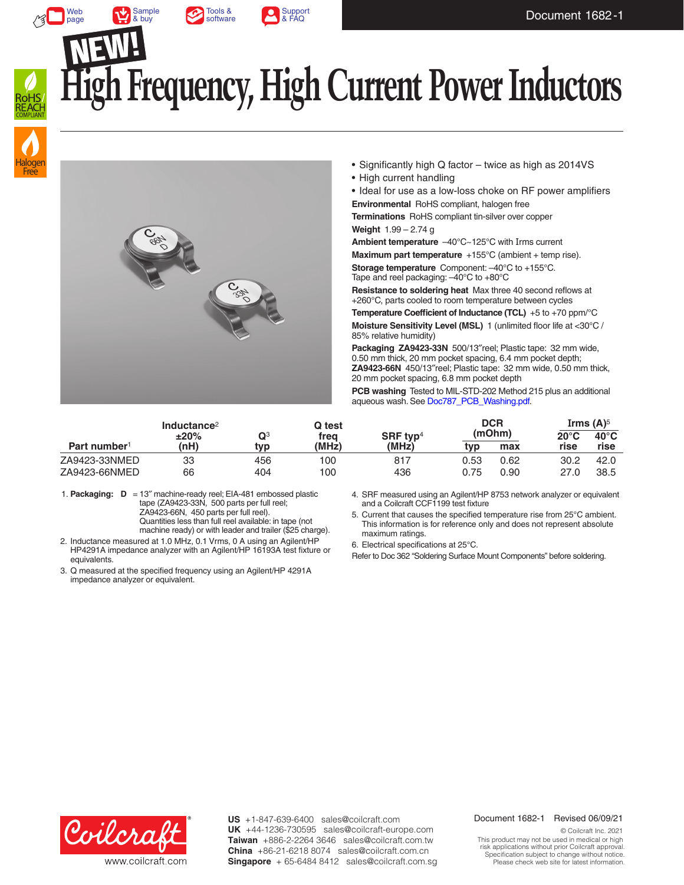





Web [page](https://www.coilcraft.com/en-us/products/rf/air-core-inductors/high-current-flatwire/za9423/)

# **kgh Frequency, High Current Power Inductors**





- Significantly high Q factor twice as high as 2014VS
- High current handling

• Ideal for use as a low-loss choke on RF power amplifiers **Environmental** RoHS compliant, halogen free

**Terminations** RoHS compliant tin-silver over copper

**Weight** 1.99 – 2.74 g

**Ambient temperature** –40°C~125°C with Irms current **Maximum part temperature** +155°C (ambient + temp rise).

**Storage temperature** Component: –40°C to +155°C. Tape and reel packaging: –40°C to +80°C

**Resistance to soldering heat** Max three 40 second reflows at +260°C, parts cooled to room temperature between cycles

**Temperature Coefficient of Inductance (TCL)** +5 to +70 ppm/°C

**Moisture Sensitivity Level (MSL)** 1 (unlimited floor life at <30°C / 85% relative humidity)

**Packaging ZA9423-33N** 500/13″reel; Plastic tape: 32 mm wide, 0.50 mm thick, 20 mm pocket spacing, 6.4 mm pocket depth; **ZA9423-66N** 450/13″reel; Plastic tape: 32 mm wide, 0.50 mm thick, 20 mm pocket spacing, 6.8 mm pocket depth

**PCB washing** Tested to MIL-STD-202 Method 215 plus an additional aqueous wash. See [Doc787\\_PCB\\_Washing.pdf](http://www.coilcraft.com/pdfs/Doc787_PCB_Washing.pdf).

| Part number <sup>1</sup> | Inductance <sup>2</sup><br>±20%<br>(nH) |                       | Q test        | SRF typ <sup>4</sup><br>(MHz) | <b>DCR</b><br>(mOhm) |      | Irms $(A)^5$ |                |
|--------------------------|-----------------------------------------|-----------------------|---------------|-------------------------------|----------------------|------|--------------|----------------|
|                          |                                         | $\mathbf{Q}^3$<br>tvp | frea<br>'MHz) |                               |                      |      | 20°C         | $40^{\circ}$ C |
|                          |                                         |                       |               |                               | tvp                  | max  | rise         | rise           |
| ZA9423-33NMED            | 33                                      | 456                   | 100           | 817                           | 0.53                 | 0.62 | 30.2         | 42.0           |
| ZA9423-66NMED            | 66                                      | 404                   | 100           | 436                           | 0.75                 | 0.90 | 27.0         | 38.5           |

1. **Packaging: D** = 13″ machine-ready reel; EIA-481 embossed plastic tape (ZA9423-33N, 500 parts per full reel; ZA9423-66N, 450 parts per full reel). Quantities less than full reel available: in tape (not machine ready) or with leader and trailer (\$25 charge).

2. Inductance measured at 1.0 MHz, 0.1 Vrms, 0 A using an Agilent/HP HP4291A impedance analyzer with an Agilent/HP 16193A test fixture or equivalents.

3. Q measured at the specified frequency using an Agilent/HP 4291A impedance analyzer or equivalent.

4. SRF measured using an Agilent/HP 8753 network analyzer or equivalent and a Coilcraft CCF1199 test fixture

5. Current that causes the specified temperature rise from 25°C ambient. This information is for reference only and does not represent absolute maximum ratings.

6. Electrical specifications at 25°C.

Refer to Doc 362 "Soldering Surface Mount Components" before soldering.



**US** +1-847-639-6400 sales@coilcraft.com +44-1236-730595 sales@coilcraft-europe.com **UK** +886-2-2264 3646 sales@coilcraft.com.tw **Taiwan** +86-21-6218 8074 sales@coilcraft.com.cn **China** Singapore + 65-6484 8412 sales@coilcraft.com.sg

#### Document 1682-1 Revised 06/09/21

© Coilcraft Inc. 2021 This product may not be used in medical or high risk applications without prior Coilcraft approval. Specification subject to change without notice. Please check web site for latest information.